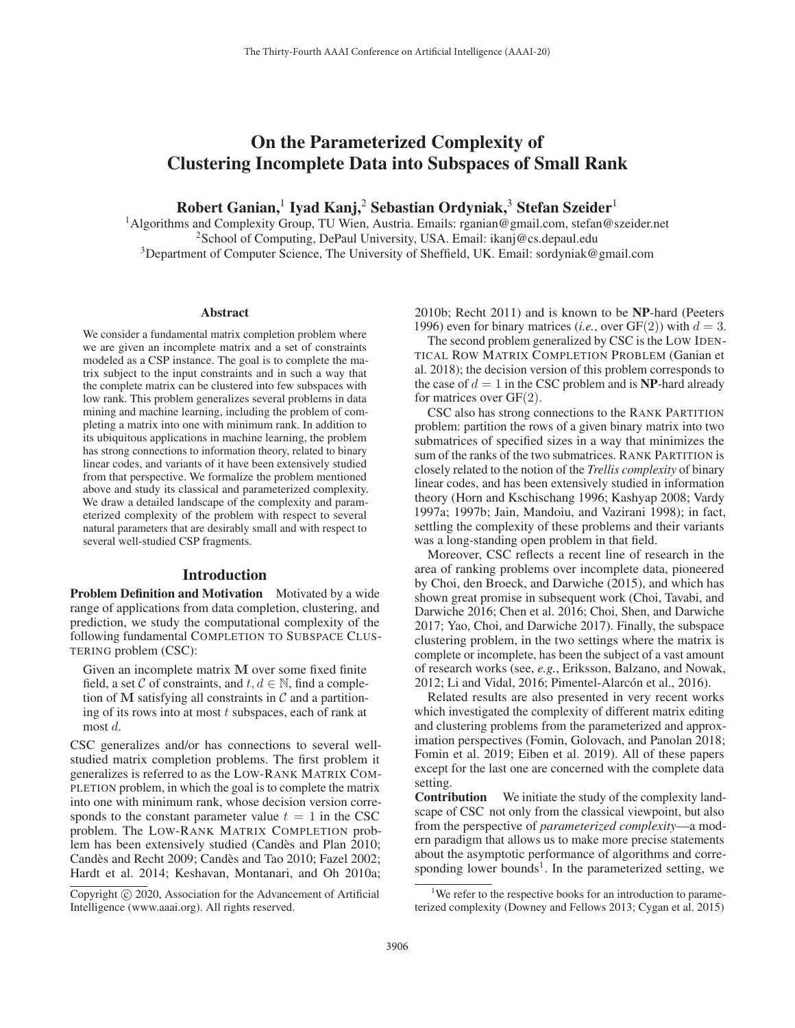# On the Parameterized Complexity of Clustering Incomplete Data into Subspaces of Small Rank

Robert Ganian,<sup>1</sup> Iyad Kanj,<sup>2</sup> Sebastian Ordyniak,<sup>3</sup> Stefan Szeider<sup>1</sup>

1Algorithms and Complexity Group, TU Wien, Austria. Emails: rganian@gmail.com, stefan@szeider.net <sup>2</sup>School of Computing, DePaul University, USA. Email: ikanj@cs.depaul.edu <sup>3</sup>Department of Computer Science, The University of Sheffield, UK. Email: sordyniak@gmail.com

#### Abstract

We consider a fundamental matrix completion problem where we are given an incomplete matrix and a set of constraints modeled as a CSP instance. The goal is to complete the matrix subject to the input constraints and in such a way that the complete matrix can be clustered into few subspaces with low rank. This problem generalizes several problems in data mining and machine learning, including the problem of completing a matrix into one with minimum rank. In addition to its ubiquitous applications in machine learning, the problem has strong connections to information theory, related to binary linear codes, and variants of it have been extensively studied from that perspective. We formalize the problem mentioned above and study its classical and parameterized complexity. We draw a detailed landscape of the complexity and parameterized complexity of the problem with respect to several natural parameters that are desirably small and with respect to several well-studied CSP fragments.

### Introduction

Problem Definition and Motivation Motivated by a wide range of applications from data completion, clustering, and prediction, we study the computational complexity of the following fundamental COMPLETION TO SUBSPACE CLUS-TERING problem (CSC):

Given an incomplete matrix **M** over some fixed finite field, a set C of constraints, and  $t, d \in \mathbb{N}$ , find a completion of M satisfying all constraints in  $\mathcal C$  and a partitioning of its rows into at most  $t$  subspaces, each of rank at most d.

CSC generalizes and/or has connections to several wellstudied matrix completion problems. The first problem it generalizes is referred to as the LOW-RANK MATRIX COM-PLETION problem, in which the goal is to complete the matrix into one with minimum rank, whose decision version corresponds to the constant parameter value  $t = 1$  in the CSC problem. The LOW-RANK MATRIX COMPLETION problem has been extensively studied (Candès and Plan 2010; Candès and Recht 2009; Candès and Tao 2010; Fazel 2002; Hardt et al. 2014; Keshavan, Montanari, and Oh 2010a; 2010b; Recht 2011) and is known to be NP-hard (Peeters 1996) even for binary matrices (*i.e.*, over  $GF(2)$ ) with  $d = 3$ .

The second problem generalized by CSC is the LOW IDEN-TICAL ROW MATRIX COMPLETION PROBLEM (Ganian et al. 2018); the decision version of this problem corresponds to the case of  $d = 1$  in the CSC problem and is **NP**-hard already for matrices over  $GF(2)$ .

CSC also has strong connections to the RANK PARTITION problem: partition the rows of a given binary matrix into two submatrices of specified sizes in a way that minimizes the sum of the ranks of the two submatrices. RANK PARTITION is closely related to the notion of the *Trellis complexity* of binary linear codes, and has been extensively studied in information theory (Horn and Kschischang 1996; Kashyap 2008; Vardy 1997a; 1997b; Jain, Mandoiu, and Vazirani 1998); in fact, settling the complexity of these problems and their variants was a long-standing open problem in that field.

Moreover, CSC reflects a recent line of research in the area of ranking problems over incomplete data, pioneered by Choi, den Broeck, and Darwiche (2015), and which has shown great promise in subsequent work (Choi, Tavabi, and Darwiche 2016; Chen et al. 2016; Choi, Shen, and Darwiche 2017; Yao, Choi, and Darwiche 2017). Finally, the subspace clustering problem, in the two settings where the matrix is complete or incomplete, has been the subject of a vast amount of research works (see, *e.g.*, Eriksson, Balzano, and Nowak, 2012; Li and Vidal, 2016; Pimentel-Alarcón et al., 2016).

Related results are also presented in very recent works which investigated the complexity of different matrix editing and clustering problems from the parameterized and approximation perspectives (Fomin, Golovach, and Panolan 2018; Fomin et al. 2019; Eiben et al. 2019). All of these papers except for the last one are concerned with the complete data setting.

Contribution We initiate the study of the complexity landscape of CSC not only from the classical viewpoint, but also from the perspective of *parameterized complexity*—a modern paradigm that allows us to make more precise statements about the asymptotic performance of algorithms and corresponding lower bounds<sup>1</sup>. In the parameterized setting, we

Copyright  $\odot$  2020, Association for the Advancement of Artificial Intelligence (www.aaai.org). All rights reserved.

<sup>&</sup>lt;sup>1</sup>We refer to the respective books for an introduction to parameterized complexity (Downey and Fellows 2013; Cygan et al. 2015)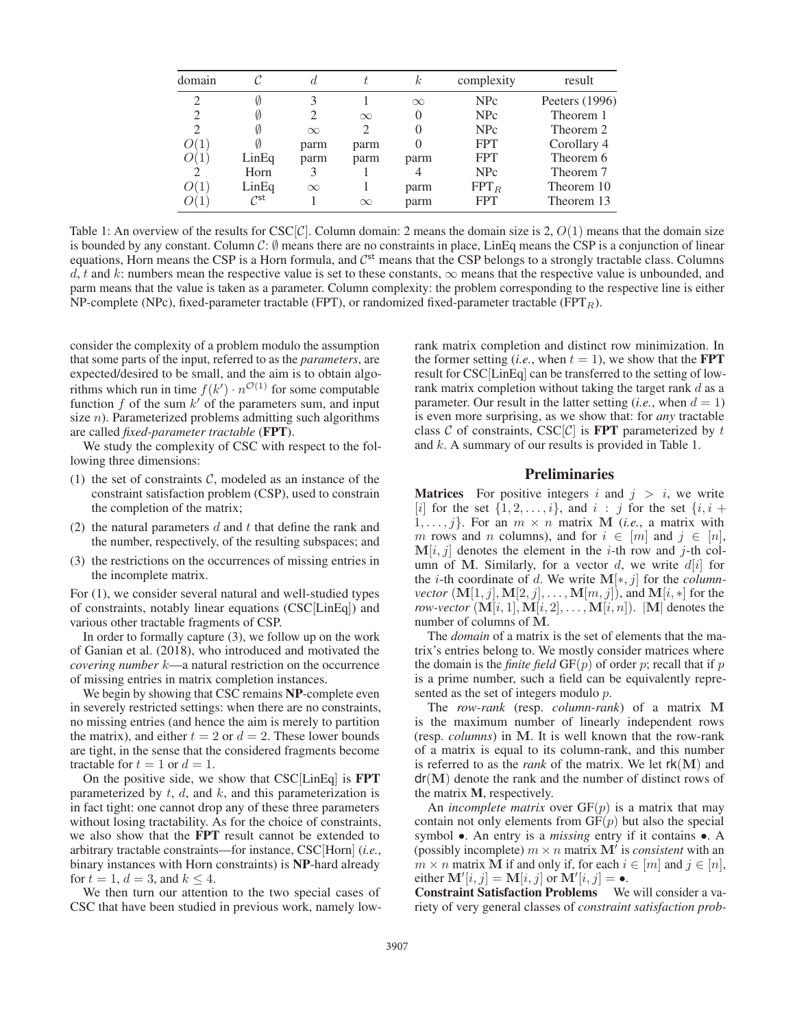| domain         |                             |          |          | $_{k}$   | complexity | result         |
|----------------|-----------------------------|----------|----------|----------|------------|----------------|
| 2              | Ø                           |          |          | $\infty$ | <b>NPc</b> | Peeters (1996) |
|                | V)                          |          | $\infty$ |          | <b>NPc</b> | Theorem 1      |
| $\mathfrak{D}$ | Ø                           | $\infty$ | 2        |          | <b>NPc</b> | Theorem 2      |
| O(1)           |                             | parm     | parm     |          | <b>FPT</b> | Corollary 4    |
|                | LinEq                       | parm     | parm     | parm     | <b>FPT</b> | Theorem 6      |
| $\mathfrak{D}$ | Horn                        | 3        |          | 4        | <b>NPc</b> | Theorem 7      |
| O(1)           | LinEq                       | $\infty$ |          | parm     | $FPT_R$    | Theorem 10     |
|                | $\mathcal{C}^{\mathsf{st}}$ |          | $\infty$ | parm     | <b>FPT</b> | Theorem 13     |

Table 1: An overview of the results for  $\csc[\mathcal{C}]$ . Column domain: 2 means the domain size is 2,  $O(1)$  means that the domain size is bounded by any constant. Column  $C: \emptyset$  means there are no constraints in place, LinEq means the CSP is a conjunction of linear equations, Horn means the CSP is a Horn formula, and  $C<sup>st</sup>$  means that the CSP belongs to a strongly tractable class. Columns d, t and k: numbers mean the respective value is set to these constants,  $\infty$  means that the respective value is unbounded, and parm means that the value is taken as a parameter. Column complexity: the problem corresponding to the respective line is either NP-complete (NPc), fixed-parameter tractable (FPT), or randomized fixed-parameter tractable (FPT<sub>R</sub>).

consider the complexity of a problem modulo the assumption that some parts of the input, referred to as the *parameters*, are expected/desired to be small, and the aim is to obtain algorithms which run in time  $f(k') \cdot n^{\mathcal{O}(1)}$  for some computable function f of the sum  $k'$  of the parameters sum, and input size  $n$ ). Parameterized problems admitting such algorithms are called *fixed-parameter tractable* (FPT).

We study the complexity of CSC with respect to the following three dimensions:

- (1) the set of constraints  $C$ , modeled as an instance of the constraint satisfaction problem (CSP), used to constrain the completion of the matrix;
- (2) the natural parameters  $d$  and  $t$  that define the rank and the number, respectively, of the resulting subspaces; and
- (3) the restrictions on the occurrences of missing entries in the incomplete matrix.

For (1), we consider several natural and well-studied types of constraints, notably linear equations (CSC[LinEq]) and various other tractable fragments of CSP.

In order to formally capture (3), we follow up on the work of Ganian et al. (2018), who introduced and motivated the *covering number* k—a natural restriction on the occurrence of missing entries in matrix completion instances.

We begin by showing that CSC remains **NP**-complete even in severely restricted settings: when there are no constraints, no missing entries (and hence the aim is merely to partition the matrix), and either  $t = 2$  or  $d = 2$ . These lower bounds are tight, in the sense that the considered fragments become tractable for  $t = 1$  or  $d = 1$ .

On the positive side, we show that CSC[LinEq] is FPT parameterized by  $t$ ,  $d$ , and  $k$ , and this parameterization is in fact tight: one cannot drop any of these three parameters without losing tractability. As for the choice of constraints, we also show that the FPT result cannot be extended to arbitrary tractable constraints—for instance, CSC[Horn] (*i.e.*, binary instances with Horn constraints) is NP-hard already for  $t = 1$ ,  $d = 3$ , and  $k \leq 4$ .

We then turn our attention to the two special cases of CSC that have been studied in previous work, namely lowrank matrix completion and distinct row minimization. In the former setting (*i.e.*, when  $t = 1$ ), we show that the **FPT** result for CSC[LinEq] can be transferred to the setting of lowrank matrix completion without taking the target rank  $d$  as a parameter. Our result in the latter setting  $(i.e., when d = 1)$ is even more surprising, as we show that: for *any* tractable class C of constraints, CSC $[\mathcal{C}]$  is **FPT** parameterized by t and k. A summary of our results is provided in Table 1.

# **Preliminaries**

**Matrices** For positive integers i and  $j > i$ , we write [i] for the set  $\{1, 2, \ldots, i\}$ , and  $i : j$  for the set  $\{i, i +$  $1, \ldots, j$ . For an  $m \times n$  matrix **M** (*i.e.*, a matrix with m rows and n columns), and for  $i \in [m]$  and  $j \in [n]$ ,  $M[i, j]$  denotes the element in the *i*-th row and *j*-th column of M. Similarly, for a vector  $d$ , we write  $d[i]$  for the i-th coordinate of d. We write **M**[∗, j] for the *columnvector*  $(M[1, j], M[2, j], \ldots, M[m, j])$ , and  $M[i, *]$  for the *row-vector*  $(M[i, 1], M[i, 2], \ldots, M[i, n])$ .  $|M|$  denotes the number of columns of **M**.

The *domain* of a matrix is the set of elements that the matrix's entries belong to. We mostly consider matrices where the domain is the *finite field*  $GF(p)$  of order p; recall that if p is a prime number, such a field can be equivalently represented as the set of integers modulo p.

The *row-rank* (resp. *column-rank*) of a matrix **M** is the maximum number of linearly independent rows (resp. *columns*) in **M**. It is well known that the row-rank of a matrix is equal to its column-rank, and this number is referred to as the *rank* of the matrix. We let  $rk(M)$  and dr(**M**) denote the rank and the number of distinct rows of the matrix M, respectively.

An *incomplete matrix* over  $GF(p)$  is a matrix that may contain not only elements from  $GF(p)$  but also the special symbol •. An entry is a *missing* entry if it contains •. A (possibly incomplete)  $m \times n$  matrix  $M'$  is *consistent* with an  $m \times n$  matrix **M** if and only if, for each  $i \in [m]$  and  $j \in [n]$ , either  $\mathbf{M}'[i, j] = \mathbf{M}[i, j]$  or  $\mathbf{M}'[i, j] = \bullet$ .

Constraint Satisfaction Problems We will consider a variety of very general classes of *constraint satisfaction prob-*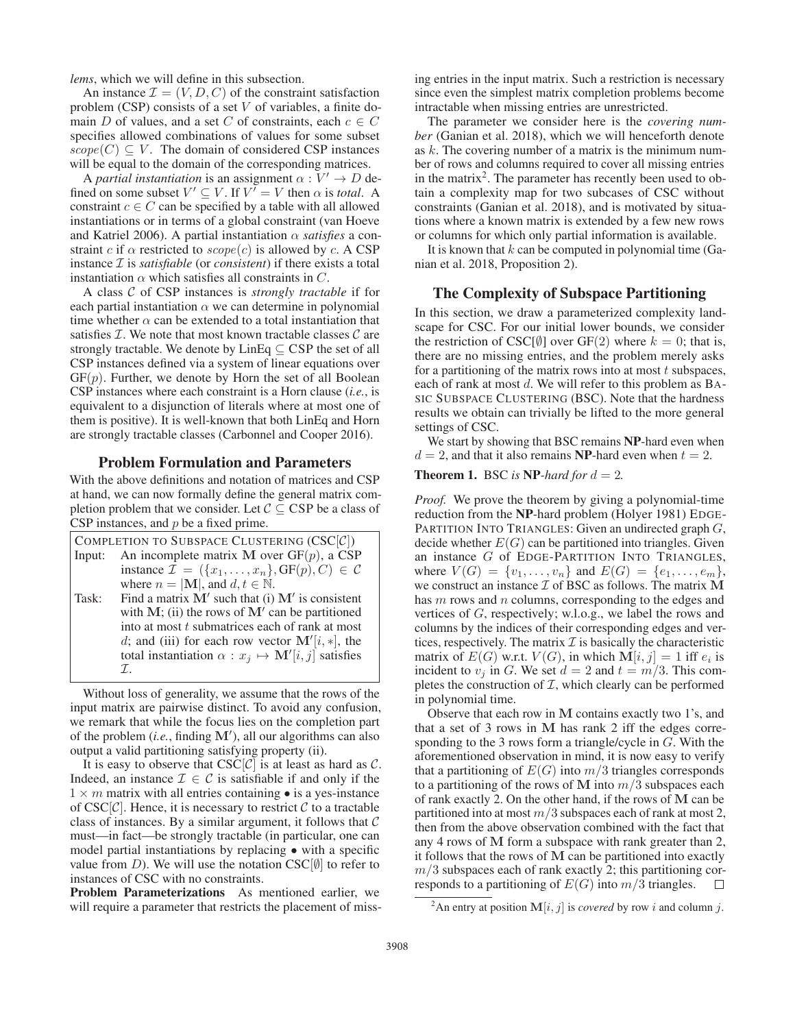*lems*, which we will define in this subsection.

An instance  $\mathcal{I} = (V, D, C)$  of the constraint satisfaction problem (CSP) consists of a set V of variables, a finite domain D of values, and a set C of constraints, each  $c \in C$ specifies allowed combinations of values for some subset  $scope(C) \subseteq V$ . The domain of considered CSP instances will be equal to the domain of the corresponding matrices.

A *partial instantiation* is an assignment  $\alpha : V' \to D$  defined on some subset  $V' \subseteq V$ . If  $V' = V$  then  $\alpha$  is *total*. A constraint  $c \in C$  can be specified by a table with all allowed instantiations or in terms of a global constraint (van Hoeve and Katriel 2006). A partial instantiation  $\alpha$  *satisfies* a constraint c if  $\alpha$  restricted to  $scope(c)$  is allowed by c. A CSP instance I is *satisfiable* (or *consistent*) if there exists a total instantiation  $\alpha$  which satisfies all constraints in C.

A class C of CSP instances is *strongly tractable* if for each partial instantiation  $\alpha$  we can determine in polynomial time whether  $\alpha$  can be extended to a total instantiation that satisfies  $\mathcal I$ . We note that most known tractable classes  $\mathcal C$  are strongly tractable. We denote by  $\text{LinEq} \subseteq \text{CSP}$  the set of all CSP instances defined via a system of linear equations over  $GF(p)$ . Further, we denote by Horn the set of all Boolean CSP instances where each constraint is a Horn clause (*i.e.*, is equivalent to a disjunction of literals where at most one of them is positive). It is well-known that both LinEq and Horn are strongly tractable classes (Carbonnel and Cooper 2016).

# Problem Formulation and Parameters

With the above definitions and notation of matrices and CSP at hand, we can now formally define the general matrix completion problem that we consider. Let  $C \subseteq CSP$  be a class of CSP instances, and  $p$  be a fixed prime.

| COMPLETION TO SUBSPACE CLUSTERING $(CSC[\mathcal{C}])$ |                                                                                  |  |  |  |  |  |
|--------------------------------------------------------|----------------------------------------------------------------------------------|--|--|--|--|--|
| Input:                                                 | An incomplete matrix M over $GF(p)$ , a CSP                                      |  |  |  |  |  |
|                                                        | instance $\mathcal{I} = (\{x_1, \ldots, x_n\}, \text{GF}(p), C) \in \mathcal{C}$ |  |  |  |  |  |
|                                                        | where $n =  M $ , and $d, t \in \mathbb{N}$ .                                    |  |  |  |  |  |
| Task:                                                  | Find a matrix $M'$ such that (i) $M'$ is consistent                              |  |  |  |  |  |
|                                                        | with $M$ ; (ii) the rows of $M'$ can be partitioned                              |  |  |  |  |  |
|                                                        | into at most t submatrices each of rank at most                                  |  |  |  |  |  |
|                                                        | d; and (iii) for each row vector $\mathbf{M}'[i, *]$ , the                       |  |  |  |  |  |
|                                                        | total instantiation $\alpha : x_j \mapsto \mathbf{M}'[i, j]$ satisfies           |  |  |  |  |  |
|                                                        | $\tau$                                                                           |  |  |  |  |  |

Without loss of generality, we assume that the rows of the input matrix are pairwise distinct. To avoid any confusion, we remark that while the focus lies on the completion part of the problem (*i.e.*, finding **M**- ), all our algorithms can also output a valid partitioning satisfying property (ii).

It is easy to observe that  $CSC[\mathcal{C}]$  is at least as hard as  $\mathcal{C}$ . Indeed, an instance  $\mathcal{I} \in \mathcal{C}$  is satisfiable if and only if the  $1 \times m$  matrix with all entries containing  $\bullet$  is a yes-instance of  $CSC[\mathcal{C}]$ . Hence, it is necessary to restrict  $\mathcal C$  to a tractable class of instances. By a similar argument, it follows that  $\mathcal C$ must—in fact—be strongly tractable (in particular, one can model partial instantiations by replacing • with a specific value from D). We will use the notation  $CSC[\emptyset]$  to refer to instances of CSC with no constraints.

Problem Parameterizations As mentioned earlier, we will require a parameter that restricts the placement of missing entries in the input matrix. Such a restriction is necessary since even the simplest matrix completion problems become intractable when missing entries are unrestricted.

The parameter we consider here is the *covering number* (Ganian et al. 2018), which we will henceforth denote as  $k$ . The covering number of a matrix is the minimum number of rows and columns required to cover all missing entries in the matrix<sup>2</sup>. The parameter has recently been used to obtain a complexity map for two subcases of CSC without constraints (Ganian et al. 2018), and is motivated by situations where a known matrix is extended by a few new rows or columns for which only partial information is available.

It is known that  $k$  can be computed in polynomial time (Ganian et al. 2018, Proposition 2).

# The Complexity of Subspace Partitioning

In this section, we draw a parameterized complexity landscape for CSC. For our initial lower bounds, we consider the restriction of CSC[Ø] over GF(2) where  $k = 0$ ; that is, there are no missing entries, and the problem merely asks for a partitioning of the matrix rows into at most  $t$  subspaces, each of rank at most d. We will refer to this problem as BA-SIC SUBSPACE CLUSTERING (BSC). Note that the hardness results we obtain can trivially be lifted to the more general settings of CSC.

We start by showing that BSC remains **NP**-hard even when  $d = 2$ , and that it also remains **NP**-hard even when  $t = 2$ .

**Theorem 1.** BSC is NP-hard for  $d = 2$ .

*Proof.* We prove the theorem by giving a polynomial-time reduction from the NP-hard problem (Holyer 1981) EDGE-PARTITION INTO TRIANGLES: Given an undirected graph G, decide whether  $E(G)$  can be partitioned into triangles. Given an instance G of EDGE-PARTITION INTO TRIANGLES, where  $V(G) = \{v_1, \ldots, v_n\}$  and  $E(G) = \{e_1, \ldots, e_m\}$ , we construct an instance  $\mathcal I$  of BSC as follows. The matrix  $M$ has m rows and n columns, corresponding to the edges and vertices of G, respectively; w.l.o.g., we label the rows and columns by the indices of their corresponding edges and vertices, respectively. The matrix  $\mathcal I$  is basically the characteristic matrix of  $E(G)$  w.r.t.  $V(G)$ , in which  $M[i, j]=1$  iff  $e_i$  is incident to  $v_i$  in G. We set  $d = 2$  and  $t = m/3$ . This completes the construction of  $I$ , which clearly can be performed in polynomial time.

Observe that each row in **M** contains exactly two 1's, and that a set of 3 rows in **M** has rank 2 iff the edges corresponding to the 3 rows form a triangle/cycle in G. With the aforementioned observation in mind, it is now easy to verify that a partitioning of  $E(G)$  into  $m/3$  triangles corresponds to a partitioning of the rows of M into  $m/3$  subspaces each of rank exactly 2. On the other hand, if the rows of **M** can be partitioned into at most  $m/3$  subspaces each of rank at most 2, then from the above observation combined with the fact that any 4 rows of **M** form a subspace with rank greater than 2, it follows that the rows of **M** can be partitioned into exactly  $m/3$  subspaces each of rank exactly 2; this partitioning corresponds to a partitioning of  $E(G)$  into  $m/3$  triangles.  $\Box$ 

<sup>&</sup>lt;sup>2</sup>An entry at position  $\mathbf{M}[i, j]$  is *covered* by row i and column j.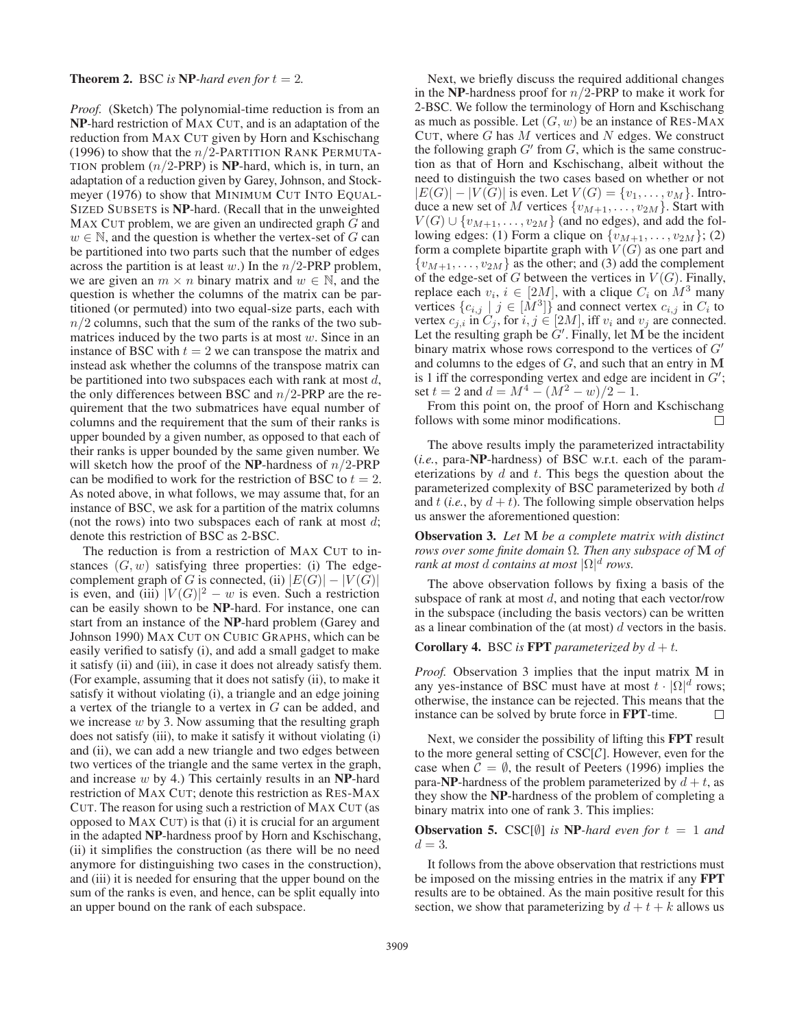### **Theorem 2.** BSC *is* **NP**-hard even for  $t = 2$ .

*Proof.* (Sketch) The polynomial-time reduction is from an NP-hard restriction of MAX CUT, and is an adaptation of the reduction from MAX CUT given by Horn and Kschischang (1996) to show that the  $n/2$ -PARTITION RANK PERMUTA-TION problem  $(n/2$ -PRP) is NP-hard, which is, in turn, an adaptation of a reduction given by Garey, Johnson, and Stockmeyer (1976) to show that MINIMUM CUT INTO EQUAL-SIZED SUBSETS is NP-hard. (Recall that in the unweighted MAX CUT problem, we are given an undirected graph G and  $w \in \mathbb{N}$ , and the question is whether the vertex-set of G can be partitioned into two parts such that the number of edges across the partition is at least w.) In the  $n/2$ -PRP problem, we are given an  $m \times n$  binary matrix and  $w \in \mathbb{N}$ , and the question is whether the columns of the matrix can be partitioned (or permuted) into two equal-size parts, each with  $n/2$  columns, such that the sum of the ranks of the two submatrices induced by the two parts is at most  $w$ . Since in an instance of BSC with  $t = 2$  we can transpose the matrix and instead ask whether the columns of the transpose matrix can be partitioned into two subspaces each with rank at most  $d$ , the only differences between BSC and  $n/2$ -PRP are the requirement that the two submatrices have equal number of columns and the requirement that the sum of their ranks is upper bounded by a given number, as opposed to that each of their ranks is upper bounded by the same given number. We will sketch how the proof of the **NP**-hardness of  $n/2$ -PRP can be modified to work for the restriction of BSC to  $t = 2$ . As noted above, in what follows, we may assume that, for an instance of BSC, we ask for a partition of the matrix columns (not the rows) into two subspaces each of rank at most  $d$ ; denote this restriction of BSC as 2-BSC.

The reduction is from a restriction of MAX CUT to instances  $(G, w)$  satisfying three properties: (i) The edgecomplement graph of G is connected, (ii)  $|E(G)|-|V(G)|$ is even, and (iii)  $|V(G)|^2 - w$  is even. Such a restriction can be easily shown to be NP-hard. For instance, one can start from an instance of the NP-hard problem (Garey and Johnson 1990) MAX CUT ON CUBIC GRAPHS, which can be easily verified to satisfy (i), and add a small gadget to make it satisfy (ii) and (iii), in case it does not already satisfy them. (For example, assuming that it does not satisfy (ii), to make it satisfy it without violating (i), a triangle and an edge joining a vertex of the triangle to a vertex in G can be added, and we increase  $w$  by 3. Now assuming that the resulting graph does not satisfy (iii), to make it satisfy it without violating (i) and (ii), we can add a new triangle and two edges between two vertices of the triangle and the same vertex in the graph, and increase  $w$  by 4.) This certainly results in an NP-hard restriction of MAX CUT; denote this restriction as RES-MAX CUT. The reason for using such a restriction of MAX CUT (as opposed to MAX CUT) is that (i) it is crucial for an argument in the adapted NP-hardness proof by Horn and Kschischang, (ii) it simplifies the construction (as there will be no need anymore for distinguishing two cases in the construction), and (iii) it is needed for ensuring that the upper bound on the sum of the ranks is even, and hence, can be split equally into an upper bound on the rank of each subspace.

Next, we briefly discuss the required additional changes in the NP-hardness proof for  $n/2$ -PRP to make it work for 2-BSC. We follow the terminology of Horn and Kschischang as much as possible. Let  $(G, w)$  be an instance of RES-MAX CUT, where  $G$  has  $M$  vertices and  $N$  edges. We construct the following graph  $G'$  from  $G$ , which is the same construction as that of Horn and Kschischang, albeit without the need to distinguish the two cases based on whether or not  $|E(G)| - |V(G)|$  is even. Let  $V(G) = \{v_1, \ldots, v_M\}$ . Introduce a new set of M vertices  $\{v_{M+1},\ldots,v_{2M}\}\)$ . Start with  $V(G) \cup \{v_{M+1}, \ldots, v_{2M}\}\$  (and no edges), and add the following edges: (1) Form a clique on  $\{v_{M+1},\ldots,v_{2M}\}$ ; (2) form a complete bipartite graph with  $V(G)$  as one part and  $\{v_{M+1},\ldots,v_{2M}\}\$ as the other; and (3) add the complement of the edge-set of G between the vertices in  $V(G)$ . Finally, replace each  $v_i$ ,  $i \in [2M]$ , with a clique  $C_i$  on  $M^3$  many vertices  $\{c_{i,j} \mid j \in [\dot{M}^3]\}\$  and connect vertex  $c_{i,j}$  in  $C_i$  to vertex  $c_{j,i}$  in  $C_j$ , for  $i, j \in [2M]$ , iff  $v_i$  and  $v_j$  are connected. Let the resulting graph be  $G'$ . Finally, let  $M$  be the incident binary matrix whose rows correspond to the vertices of  $G'$ and columns to the edges of G, and such that an entry in **M** is 1 iff the corresponding vertex and edge are incident in  $G'$ ; set  $t = 2$  and  $d = M^4 - (M^2 - w)/2 - 1$ .

From this point on, the proof of Horn and Kschischang follows with some minor modifications.  $\Box$ 

The above results imply the parameterized intractability (*i.e.*, para-NP-hardness) of BSC w.r.t. each of the parameterizations by  $d$  and  $t$ . This begs the question about the parameterized complexity of BSC parameterized by both d and  $t$  (*i.e.*, by  $d + t$ ). The following simple observation helps us answer the aforementioned question:

Observation 3. *Let* **M** *be a complete matrix with distinct rows over some finite domain* Ω*. Then any subspace of* **M** *of rank at most d contains at most*  $|\Omega|^d$  *rows.* 

The above observation follows by fixing a basis of the subspace of rank at most  $d$ , and noting that each vector/row in the subspace (including the basis vectors) can be written as a linear combination of the (at most)  $d$  vectors in the basis.

#### **Corollary 4.** BSC *is* **FPT** *parameterized by*  $d + t$ *.*

*Proof.* Observation 3 implies that the input matrix **M** in any yes-instance of BSC must have at most  $t \cdot |\Omega|^d$  rows; otherwise, the instance can be rejected. This means that the instance can be solved by brute force in FPT-time.  $\Box$ 

Next, we consider the possibility of lifting this FPT result to the more general setting of  $CSC[\mathcal{C}]$ . However, even for the case when  $\mathcal{C} = \emptyset$ , the result of Peeters (1996) implies the para-NP-hardness of the problem parameterized by  $d + t$ , as they show the NP-hardness of the problem of completing a binary matrix into one of rank 3. This implies:

# **Observation 5.** CSC[ $\emptyset$ ] *is* NP-*hard even for*  $t = 1$  *and*  $d = 3$ .

It follows from the above observation that restrictions must be imposed on the missing entries in the matrix if any FPT results are to be obtained. As the main positive result for this section, we show that parameterizing by  $d + t + k$  allows us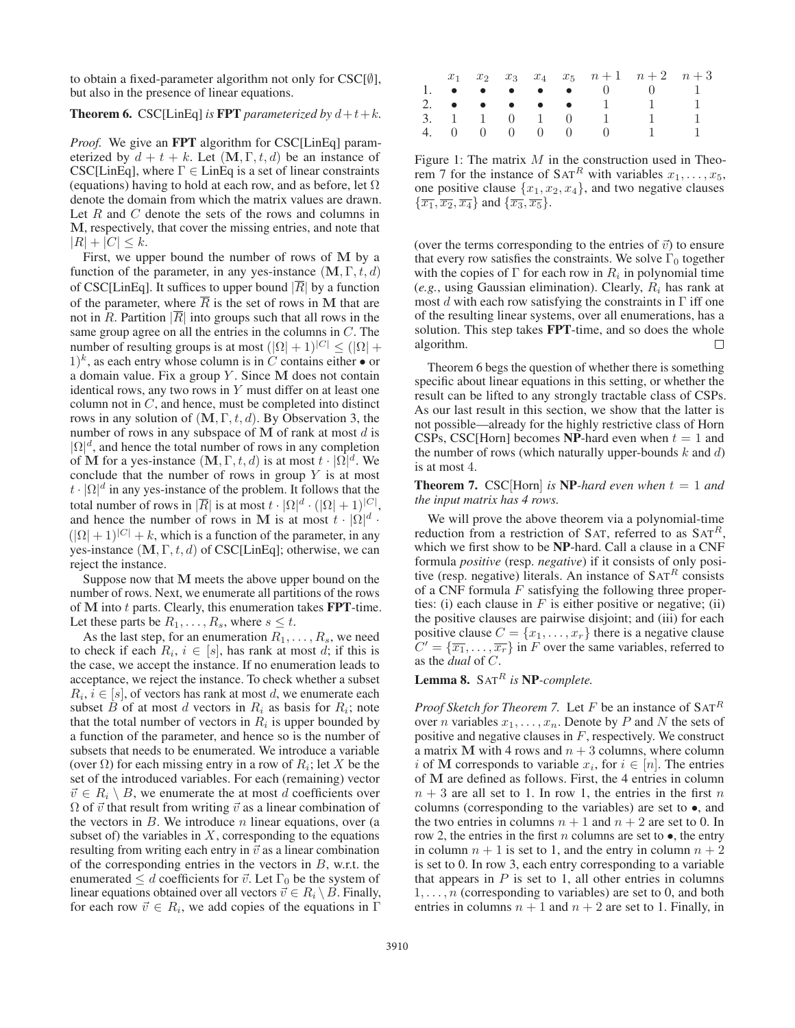to obtain a fixed-parameter algorithm not only for  $CSC[\emptyset]$ , but also in the presence of linear equations.

## **Theorem 6.** CSC[LinEq] *is* **FPT** *parameterized by*  $d+t+k$ *.*

*Proof.* We give an FPT algorithm for CSC[LinEq] parameterized by  $d + t + k$ . Let  $(\mathbf{M}, \Gamma, t, d)$  be an instance of CSC[LinEq], where  $\Gamma \in$  LinEq is a set of linear constraints (equations) having to hold at each row, and as before, let  $\Omega$ denote the domain from which the matrix values are drawn. Let  $R$  and  $C$  denote the sets of the rows and columns in **M**, respectively, that cover the missing entries, and note that  $|R| + |C| \leq k.$ 

First, we upper bound the number of rows of **M** by a function of the parameter, in any yes-instance  $(M, \Gamma, t, d)$ of CSC[LinEq]. It suffices to upper bound  $|\overline{R}|$  by a function of the parameter, where  $\overline{R}$  is the set of rows in M that are not in R. Partition  $|\overline{R}|$  into groups such that all rows in the same group agree on all the entries in the columns in C. The number of resulting groups is at most  $(|\Omega| + 1)^{|C|} \leq (|\Omega| +$  $1)^k$ , as each entry whose column is in C contains either  $\bullet$  or a domain value. Fix a group Y . Since **M** does not contain identical rows, any two rows in  $Y$  must differ on at least one column not in  $C$ , and hence, must be completed into distinct rows in any solution of (**M**, Γ, t, d). By Observation 3, the number of rows in any subspace of  $M$  of rank at most  $d$  is  $|\Omega|^d$ , and hence the total number of rows in any completion of **M** for a yes-instance  $(M, \Gamma, t, d)$  is at most  $t \cdot |\Omega|^d$ . We conclude that the number of rows in group  $Y$  is at most  $t \cdot |\Omega|^d$  in any yes-instance of the problem. It follows that the total number of rows in  $|\overline{R}|$  is at most  $t \cdot |\Omega|^{d} \cdot (|\Omega| + 1)^{|C|}$ , and hence the number of rows in M is at most  $t \cdot |\Omega|^d$ .  $(|\Omega| + 1)^{|C|} + k$ , which is a function of the parameter, in any yes-instance (**M**, Γ, t, d) of CSC[LinEq]; otherwise, we can reject the instance.

Suppose now that **M** meets the above upper bound on the number of rows. Next, we enumerate all partitions of the rows of M into t parts. Clearly, this enumeration takes **FPT**-time. Let these parts be  $R_1, \ldots, R_s$ , where  $s \leq t$ .

As the last step, for an enumeration  $R_1, \ldots, R_s$ , we need to check if each  $R_i$ ,  $i \in [s]$ , has rank at most d; if this is the case, we accept the instance. If no enumeration leads to acceptance, we reject the instance. To check whether a subset  $R_i$ ,  $i \in [s]$ , of vectors has rank at most d, we enumerate each subset B of at most d vectors in  $R_i$  as basis for  $R_i$ ; note that the total number of vectors in  $R_i$  is upper bounded by a function of the parameter, and hence so is the number of subsets that needs to be enumerated. We introduce a variable (over  $\Omega$ ) for each missing entry in a row of  $R_i$ ; let X be the set of the introduced variables. For each (remaining) vector  $\vec{v} \in R_i \setminus B$ , we enumerate the at most d coefficients over  $\Omega$  of  $\vec{v}$  that result from writing  $\vec{v}$  as a linear combination of the vectors in  $B$ . We introduce  $n$  linear equations, over (a subset of) the variables in  $X$ , corresponding to the equations resulting from writing each entry in  $\vec{v}$  as a linear combination of the corresponding entries in the vectors in  $B$ , w.r.t. the enumerated  $\leq d$  coefficients for  $\vec{v}$ . Let  $\Gamma_0$  be the system of linear equations obtained over all vectors  $\vec{v} \in R_i \setminus B$ . Finally, for each row  $\vec{v} \in R_i$ , we add copies of the equations in  $\Gamma$ 

|  |  |  |                  | $x_1$ $x_2$ $x_3$ $x_4$ $x_5$ $n+1$ $n+2$ $n+3$                                        |  |
|--|--|--|------------------|----------------------------------------------------------------------------------------|--|
|  |  |  |                  | 1. $\bullet \bullet \bullet \bullet \bullet \bullet \bullet \quad 0 \qquad 0 \qquad 1$ |  |
|  |  |  |                  | 2. $\bullet \bullet \bullet \bullet \bullet \bullet \bullet 1 1 1$                     |  |
|  |  |  |                  | 3. 1 1 0 1 0 1 1                                                                       |  |
|  |  |  | 4. 0 0 0 0 0 0 1 |                                                                                        |  |

Figure 1: The matrix  $M$  in the construction used in Theorem 7 for the instance of  $SAT<sup>R</sup>$  with variables  $x_1, \ldots, x_5$ , one positive clause  $\{x_1, x_2, x_4\}$ , and two negative clauses  $\{\overline{x_1}, \overline{x_2}, \overline{x_4}\}\$ and  $\{\overline{x_3}, \overline{x_5}\}$ .

(over the terms corresponding to the entries of  $\vec{v}$ ) to ensure that every row satisfies the constraints. We solve  $\Gamma_0$  together with the copies of  $\Gamma$  for each row in  $R_i$  in polynomial time  $(e.g., using Gaussian elimination)$ . Clearly,  $R_i$  has rank at most d with each row satisfying the constraints in  $\Gamma$  iff one of the resulting linear systems, over all enumerations, has a solution. This step takes FPT-time, and so does the whole algorithm. П

Theorem 6 begs the question of whether there is something specific about linear equations in this setting, or whether the result can be lifted to any strongly tractable class of CSPs. As our last result in this section, we show that the latter is not possible—already for the highly restrictive class of Horn CSPs, CSC[Horn] becomes NP-hard even when  $t = 1$  and the number of rows (which naturally upper-bounds  $k$  and  $d$ ) is at most 4.

**Theorem 7.** CSC[Horn] *is* NP-hard even when  $t = 1$  and *the input matrix has 4 rows.*

We will prove the above theorem via a polynomial-time reduction from a restriction of SAT, referred to as  $SAT<sup>R</sup>$ , which we first show to be NP-hard. Call a clause in a CNF formula *positive* (resp. *negative*) if it consists of only positive (resp. negative) literals. An instance of  $SAT<sup>R</sup>$  consists of a CNF formula  $F$  satisfying the following three properties: (i) each clause in  $F$  is either positive or negative; (ii) the positive clauses are pairwise disjoint; and (iii) for each positive clause  $C = \{x_1, \ldots, x_r\}$  there is a negative clause  $C' = {\overline{x_1}, \ldots, \overline{x_r}}$  in F over the same variables, referred to as the *dual* of C.

# Lemma 8. SAT<sup>R</sup> is NP-complete.

*Proof Sketch for Theorem 7.* Let F be an instance of  $SAT<sup>R</sup>$ over *n* variables  $x_1, \ldots, x_n$ . Denote by *P* and *N* the sets of positive and negative clauses in  $F$ , respectively. We construct a matrix **M** with 4 rows and  $n + 3$  columns, where column i of **M** corresponds to variable  $x_i$ , for  $i \in [n]$ . The entries of **M** are defined as follows. First, the 4 entries in column  $n + 3$  are all set to 1. In row 1, the entries in the first n columns (corresponding to the variables) are set to •, and the two entries in columns  $n + 1$  and  $n + 2$  are set to 0. In row 2, the entries in the first n columns are set to  $\bullet$ , the entry in column  $n + 1$  is set to 1, and the entry in column  $n + 2$ is set to 0. In row 3, each entry corresponding to a variable that appears in  $P$  is set to 1, all other entries in columns  $1, \ldots, n$  (corresponding to variables) are set to 0, and both entries in columns  $n + 1$  and  $n + 2$  are set to 1. Finally, in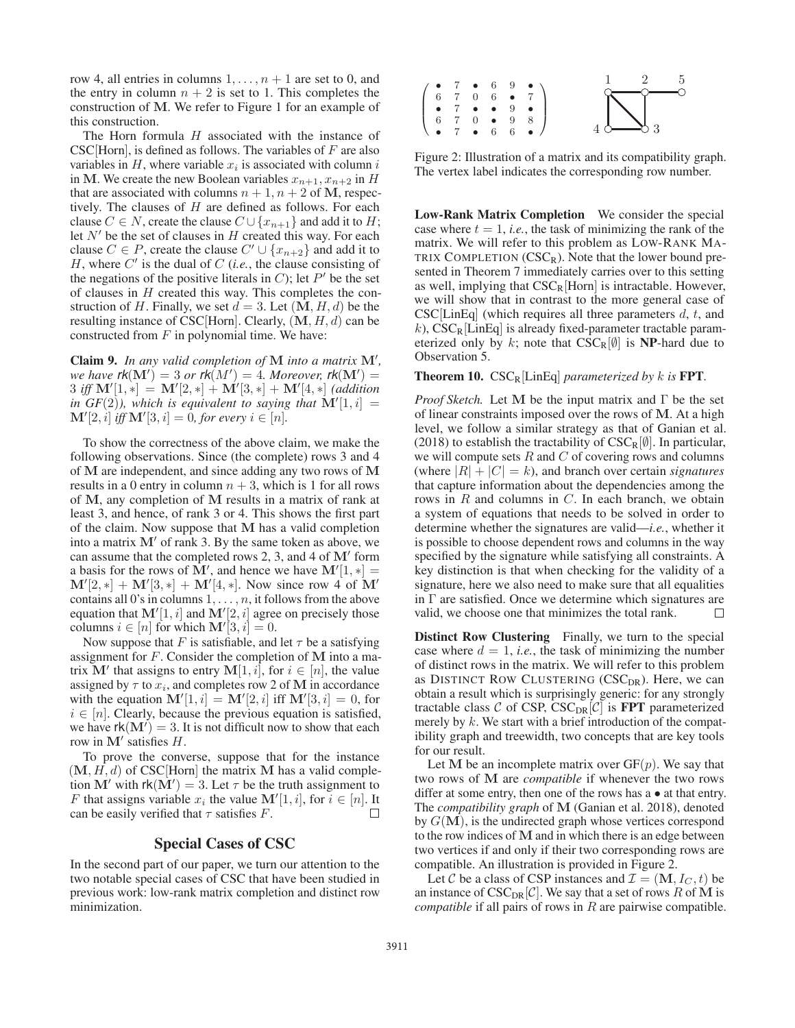row 4, all entries in columns  $1, \ldots, n + 1$  are set to 0, and the entry in column  $n + 2$  is set to 1. This completes the construction of **M**. We refer to Figure 1 for an example of this construction.

The Horn formula  $H$  associated with the instance of  $CSC[{\rm Horn}]$ , is defined as follows. The variables of  $F$  are also variables in  $H$ , where variable  $x_i$  is associated with column i in M. We create the new Boolean variables  $x_{n+1}, x_{n+2}$  in H that are associated with columns  $n + 1$ ,  $n + 2$  of **M**, respectively. The clauses of  $H$  are defined as follows. For each clause  $C \in N$ , create the clause  $C \cup \{x_{n+1}\}\$ and add it to H; let  $N'$  be the set of clauses in H created this way. For each clause  $C \in P$ , create the clause  $C' \cup \{x_{n+2}\}\$  and add it to H, where  $C'$  is the dual of C (*i.e.*, the clause consisting of the negations of the positive literals in C); let  $P'$  be the set of clauses in  $H$  created this way. This completes the construction of H. Finally, we set  $d = 3$ . Let  $(M, H, d)$  be the resulting instance of CSC[Horn]. Clearly, (**M**, H, d) can be constructed from  $F$  in polynomial time. We have:

Claim 9. *In any valid completion of* **M** *into a matrix* **M**- *,*  $\mathsf{w}e$  *have*  $\mathsf{rk}(\mathbf{M}')=3$  *or*  $\mathsf{rk}(M')=4$ *. Moreover,*  $\mathsf{rk}(\mathbf{M}')=4$  $3 \text{ iff } M'[1, *] = M'[2, *] + M'[3, *] + M'[4, *] \text{ (addition)}$ in  $GF(2)$ ), which is equivalent to saying that  $M'[1, i] =$  $\mathbf{M}'[2, i]$  *iff*  $\mathbf{M}'[3, i] = 0$ *, for every*  $i \in [n]$ *.* 

To show the correctness of the above claim, we make the following observations. Since (the complete) rows 3 and 4 of **M** are independent, and since adding any two rows of **M** results in a 0 entry in column  $n + 3$ , which is 1 for all rows of **M**, any completion of **M** results in a matrix of rank at least 3, and hence, of rank 3 or 4. This shows the first part of the claim. Now suppose that **M** has a valid completion into a matrix  $M'$  of rank 3. By the same token as above, we can assume that the completed rows 2, 3, and 4 of **M**- form a basis for the rows of  $\mathbf{M}'$ , and hence we have  $\mathbf{M}'[1, *] =$  $M'[2, *] + M'[3, *] + M'[4, *]$ . Now since row 4 of M' contains all 0's in columns  $1, \ldots, n$ , it follows from the above equation that  $M'[1, i]$  and  $M'[2, i]$  agree on precisely those columns  $i \in [n]$  for which  $\mathbf{M}'[3, i] = 0$ .

Now suppose that F is satisfiable, and let  $\tau$  be a satisfying assignment for F. Consider the completion of **M** into a matrix  $\mathbf{M}'$  that assigns to entry  $\mathbf{M}[1, i]$ , for  $i \in [n]$ , the value assigned by  $\tau$  to  $x_i$ , and completes row 2 of M in accordance with the equation  $\mathbf{M}'[1, i] = \mathbf{M}'[2, i]$  iff  $\mathbf{M}'[3, i] = 0$ , for  $i \in [n]$ . Clearly, because the previous equation is satisfied, we have  $rk(M') = 3$ . It is not difficult now to show that each row in  $M'$  satisfies  $H$ .

To prove the converse, suppose that for the instance  $(M, H, d)$  of CSC [Horn] the matrix M has a valid completion  $\mathbf{M}'$  with  $rk(\mathbf{M}') = 3$ . Let  $\tau$  be the truth assignment to F that assigns variable  $x_i$  the value  $\mathbf{M}'[1, i]$ , for  $i \in [n]$ . It can be easily verified that  $\tau$  satisfies F.  $\Box$ 

# Special Cases of CSC

In the second part of our paper, we turn our attention to the two notable special cases of CSC that have been studied in previous work: low-rank matrix completion and distinct row minimization.



Figure 2: Illustration of a matrix and its compatibility graph. The vertex label indicates the corresponding row number.

Low-Rank Matrix Completion We consider the special case where  $t = 1$ , *i.e.*, the task of minimizing the rank of the matrix. We will refer to this problem as LOW-RANK MA-TRIX COMPLETION  $(CSC_R)$ . Note that the lower bound presented in Theorem 7 immediately carries over to this setting as well, implying that  $CSC_R$ [Horn] is intractable. However, we will show that in contrast to the more general case of  $CSC[LinEq]$  (which requires all three parameters d, t, and k),  $CSC_R[LinEq]$  is already fixed-parameter tractable parameterized only by k; note that  $CSC_R[\emptyset]$  is NP-hard due to Observation 5.

**Theorem 10.**  $CSC_R[LinEq]$  *parameterized by k is* **FPT**.

*Proof Sketch.* Let **M** be the input matrix and Γ be the set of linear constraints imposed over the rows of **M**. At a high level, we follow a similar strategy as that of Ganian et al. (2018) to establish the tractability of  $CSC_R[\emptyset]$ . In particular, we will compute sets  $R$  and  $C$  of covering rows and columns (where  $|R| + |C| = k$ ), and branch over certain *signatures* that capture information about the dependencies among the rows in  $R$  and columns in  $C$ . In each branch, we obtain a system of equations that needs to be solved in order to determine whether the signatures are valid—*i.e.*, whether it is possible to choose dependent rows and columns in the way specified by the signature while satisfying all constraints. A key distinction is that when checking for the validity of a signature, here we also need to make sure that all equalities in  $\Gamma$  are satisfied. Once we determine which signatures are valid, we choose one that minimizes the total rank.  $\Box$ 

Distinct Row Clustering Finally, we turn to the special case where  $d = 1$ , *i.e.*, the task of minimizing the number of distinct rows in the matrix. We will refer to this problem as DISTINCT ROW CLUSTERING  $(CSC<sub>DR</sub>)$ . Here, we can obtain a result which is surprisingly generic: for any strongly tractable class C of CSP, CSC<sub>DR</sub>[C] is **FPT** parameterized merely by  $k$ . We start with a brief introduction of the compatibility graph and treewidth, two concepts that are key tools for our result.

Let M be an incomplete matrix over  $GF(p)$ . We say that two rows of **M** are *compatible* if whenever the two rows differ at some entry, then one of the rows has a • at that entry. The *compatibility graph* of **M** (Ganian et al. 2018), denoted by  $G(\mathbf{M})$ , is the undirected graph whose vertices correspond to the row indices of **M** and in which there is an edge between two vertices if and only if their two corresponding rows are compatible. An illustration is provided in Figure 2.

Let C be a class of CSP instances and  $\mathcal{I} = (\mathbf{M}, I_C, t)$  be an instance of  $CSC_{DR}[\mathcal{C}]$ . We say that a set of rows R of M is *compatible* if all pairs of rows in R are pairwise compatible.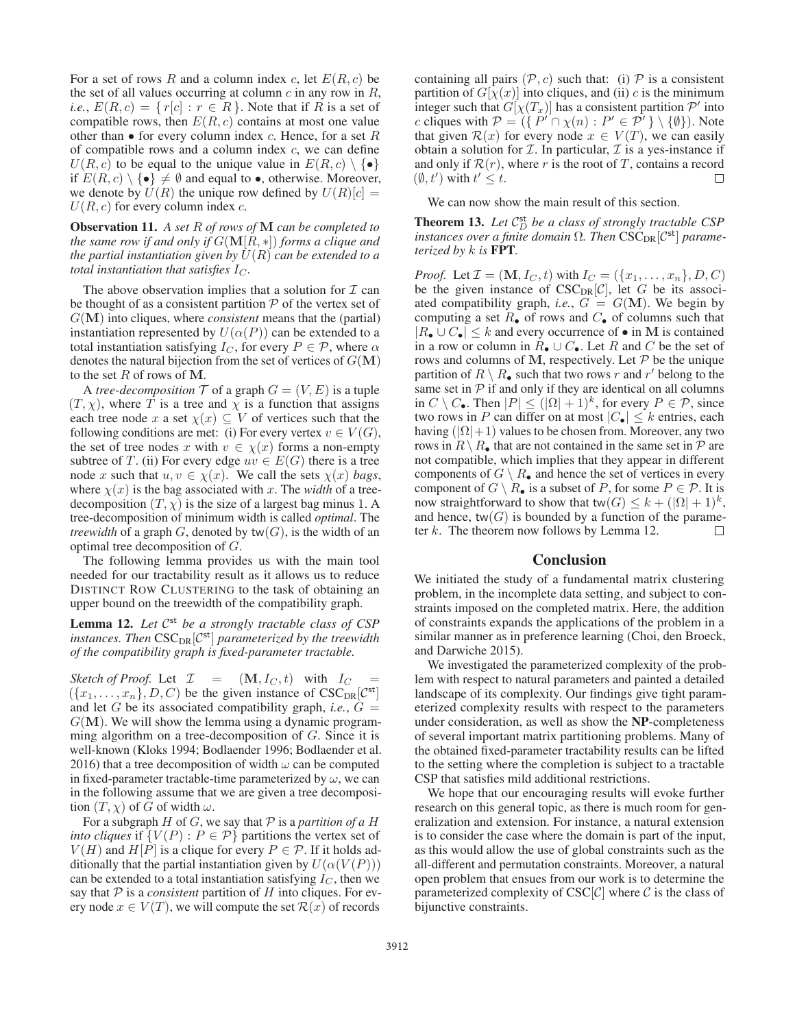For a set of rows R and a column index c, let  $E(R, c)$  be the set of all values occurring at column  $c$  in any row in  $R$ , *i.e.*,  $E(R, c) = \{ r[c] : r \in R \}$ . Note that if R is a set of compatible rows, then  $E(R, c)$  contains at most one value other than  $\bullet$  for every column index c. Hence, for a set R of compatible rows and a column index  $c$ , we can define  $U(R, c)$  to be equal to the unique value in  $E(R, c) \setminus \{ \bullet \}$ if  $E(R, c) \setminus \{ \bullet \} \neq \emptyset$  and equal to  $\bullet$ , otherwise. Moreover, we denote by  $U(R)$  the unique row defined by  $U(R)[c] =$  $U(R, c)$  for every column index c.

Observation 11. *A set* R *of rows of* **M** *can be completed to the same row if and only if* G(**M**[R, ∗]) *forms a clique and the partial instantiation given by*  $U(R)$  *can be extended to a total instantiation that satisfies*  $I_C$ *.* 

The above observation implies that a solution for  $\mathcal I$  can be thought of as a consistent partition  $P$  of the vertex set of G(**M**) into cliques, where *consistent* means that the (partial) instantiation represented by  $U(\alpha(P))$  can be extended to a total instantiation satisfying  $I_C$ , for every  $P \in \mathcal{P}$ , where  $\alpha$ denotes the natural bijection from the set of vertices of  $G(\mathbf{M})$ to the set R of rows of **M**.

A *tree-decomposition*  $T$  of a graph  $G = (V, E)$  is a tuple  $(T, \chi)$ , where T is a tree and  $\chi$  is a function that assigns each tree node x a set  $\chi(x) \subseteq V$  of vertices such that the following conditions are met: (i) For every vertex  $v \in V(G)$ , the set of tree nodes x with  $v \in \chi(x)$  forms a non-empty subtree of T. (ii) For every edge  $uv \in E(G)$  there is a tree node x such that  $u, v \in \chi(x)$ . We call the sets  $\chi(x)$  bags, where  $\chi(x)$  is the bag associated with x. The *width* of a treedecomposition  $(T, \chi)$  is the size of a largest bag minus 1. A tree-decomposition of minimum width is called *optimal*. The *treewidth* of a graph  $G$ , denoted by  $tw(G)$ , is the width of an optimal tree decomposition of G.

The following lemma provides us with the main tool needed for our tractability result as it allows us to reduce DISTINCT ROW CLUSTERING to the task of obtaining an upper bound on the treewidth of the compatibility graph.

Lemma 12. Let  $\mathcal{C}^{st}$  *be a strongly tractable class of CSP instances. Then*  $CSC_{DR}[\mathcal{C}^{st}]$  *parameterized by the treewidth of the compatibility graph is fixed-parameter tractable.*

*Sketch of Proof.* Let  $\mathcal{I} = (\mathbf{M}, I_C, t)$  with  $I_C$  $({x_1, \ldots, x_n}, D, C)$  be the given instance of  $CSC_{DR}[C^{st}]$ and let G be its associated compatibility graph, *i.e.*,  $G =$  $G(M)$ . We will show the lemma using a dynamic programming algorithm on a tree-decomposition of G. Since it is well-known (Kloks 1994; Bodlaender 1996; Bodlaender et al. 2016) that a tree decomposition of width  $\omega$  can be computed in fixed-parameter tractable-time parameterized by  $\omega$ , we can in the following assume that we are given a tree decomposition  $(T, \chi)$  of G of width  $\omega$ .

For a subgraph  $H$  of  $G$ , we say that  $P$  is a *partition of a*  $H$ *into cliques* if  $\{V(P) : P \in \mathcal{P}\}\$  partitions the vertex set of  $V(H)$  and  $H[P]$  is a clique for every  $P \in \mathcal{P}$ . If it holds additionally that the partial instantiation given by  $U(\alpha(V(P)))$ can be extended to a total instantiation satisfying  $I_C$ , then we say that  $P$  is a *consistent* partition of  $H$  into cliques. For every node  $x \in V(T)$ , we will compute the set  $\mathcal{R}(x)$  of records

containing all pairs  $(\mathcal{P}, c)$  such that: (i)  $\mathcal P$  is a consistent partition of  $G[\chi(x)]$  into cliques, and (ii) c is the minimum integer such that  $G[\chi(T_x)]$  has a consistent partition  $\mathcal{P}'$  into c cliques with  $\mathcal{P} = (\{ \overrightarrow{P'} \cap \chi(n) : P' \in \overrightarrow{P'} \} \setminus \{\emptyset\})$ . Note that given  $\mathcal{R}(x)$  for every node  $x \in V(T)$ , we can easily obtain a solution for  $\mathcal I$ . In particular,  $\mathcal I$  is a yes-instance if and only if  $\mathcal{R}(r)$ , where r is the root of T, contains a record  $(\emptyset, t')$  with  $t' \leq t$ .  $\Box$ 

We can now show the main result of this section.

**Theorem 13.** Let  $C_D^{\text{st}}$  be a class of strongly tractable CSP *instances over a finite domain*  $\Omega$ *. Then*  $\text{CSC}_{\text{DR}}[\mathcal{C}^{\text{st}}]$  *parameterized by* k *is* FPT*.*

*Proof.* Let  $\mathcal{I} = (\mathbf{M}, I_C, t)$  with  $I_C = (\{x_1, ..., x_n\}, D, C)$ be the given instance of  $CSC_{DR}[\mathcal{C}]$ , let G be its associated compatibility graph, *i.e.*,  $G = G(M)$ . We begin by computing a set  $R_{\bullet}$  of rows and  $C_{\bullet}$  of columns such that  $|R_{\bullet} \cup C_{\bullet}|$  ≤ k and every occurrence of  $\bullet$  in M is contained in a row or column in  $R_{\bullet} \cup C_{\bullet}$ . Let R and C be the set of rows and columns of M, respectively. Let  $P$  be the unique partition of  $R \setminus R_{\bullet}$  such that two rows r and r' belong to the same set in  $P$  if and only if they are identical on all columns in  $C \setminus C_{\bullet}$ . Then  $|P| \leq (|\Omega| + 1)^k$ , for every  $P \in \mathcal{P}$ , since two rows in P can differ on at most  $|C_{\bullet}| \leq k$  entries, each having  $(|\Omega|+1)$  values to be chosen from. Moreover, any two rows in  $R \setminus R_{\bullet}$  that are not contained in the same set in  $P$  are not compatible, which implies that they appear in different components of  $G \setminus R_{\bullet}$  and hence the set of vertices in every component of  $G \setminus R_{\bullet}$  is a subset of P, for some  $P \in \mathcal{P}$ . It is now straightforward to show that tw $(G) \leq k + (|\Omega| + 1)^k$ , and hence,  $tw(G)$  is bounded by a function of the parameter  $k$ . The theorem now follows by Lemma 12.  $\Box$ 

# **Conclusion**

We initiated the study of a fundamental matrix clustering problem, in the incomplete data setting, and subject to constraints imposed on the completed matrix. Here, the addition of constraints expands the applications of the problem in a similar manner as in preference learning (Choi, den Broeck, and Darwiche 2015).

We investigated the parameterized complexity of the problem with respect to natural parameters and painted a detailed landscape of its complexity. Our findings give tight parameterized complexity results with respect to the parameters under consideration, as well as show the NP-completeness of several important matrix partitioning problems. Many of the obtained fixed-parameter tractability results can be lifted to the setting where the completion is subject to a tractable CSP that satisfies mild additional restrictions.

We hope that our encouraging results will evoke further research on this general topic, as there is much room for generalization and extension. For instance, a natural extension is to consider the case where the domain is part of the input, as this would allow the use of global constraints such as the all-different and permutation constraints. Moreover, a natural open problem that ensues from our work is to determine the parameterized complexity of  $CSC[\mathcal{C}]$  where  $\mathcal C$  is the class of bijunctive constraints.